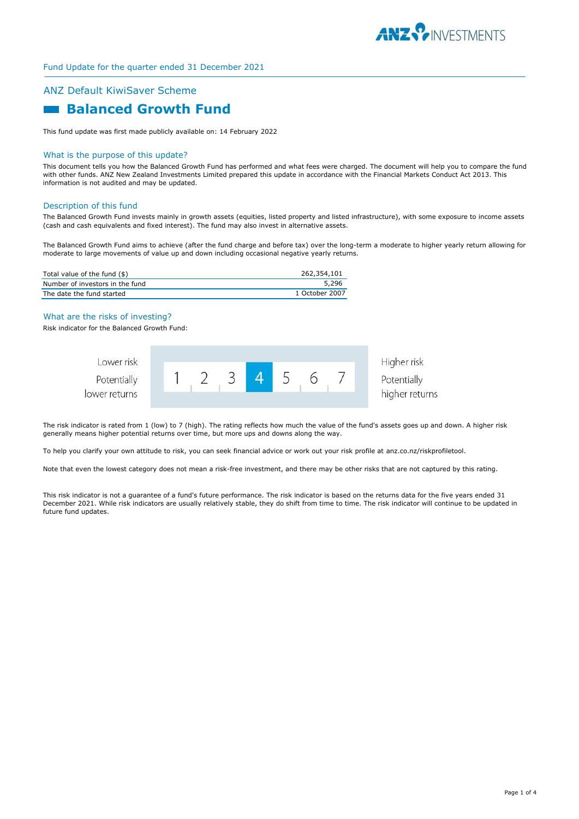

# ANZ Default KiwiSaver Scheme

# **Balanced Growth Fund**

This fund update was first made publicly available on: 14 February 2022

#### What is the purpose of this update?

This document tells you how the Balanced Growth Fund has performed and what fees were charged. The document will help you to compare the fund with other funds. ANZ New Zealand Investments Limited prepared this update in accordance with the Financial Markets Conduct Act 2013. This information is not audited and may be updated.

## Description of this fund

The Balanced Growth Fund invests mainly in growth assets (equities, listed property and listed infrastructure), with some exposure to income assets (cash and cash equivalents and fixed interest). The fund may also invest in alternative assets.

The Balanced Growth Fund aims to achieve (after the fund charge and before tax) over the long-term a moderate to higher yearly return allowing for moderate to large movements of value up and down including occasional negative yearly returns.

| Total value of the fund (\$)    | 262,354,101    |
|---------------------------------|----------------|
| Number of investors in the fund | 5,296          |
| The date the fund started       | 1 October 2007 |

#### What are the risks of investing?

Risk indicator for the Balanced Growth Fund:



The risk indicator is rated from 1 (low) to 7 (high). The rating reflects how much the value of the fund's assets goes up and down. A higher risk generally means higher potential returns over time, but more ups and downs along the way.

To help you clarify your own attitude to risk, you can seek financial advice or work out your risk profile at anz.co.nz/riskprofiletool.

Note that even the lowest category does not mean a risk-free investment, and there may be other risks that are not captured by this rating.

This risk indicator is not a guarantee of a fund's future performance. The risk indicator is based on the returns data for the five years ended 31 December 2021. While risk indicators are usually relatively stable, they do shift from time to time. The risk indicator will continue to be updated in future fund updates.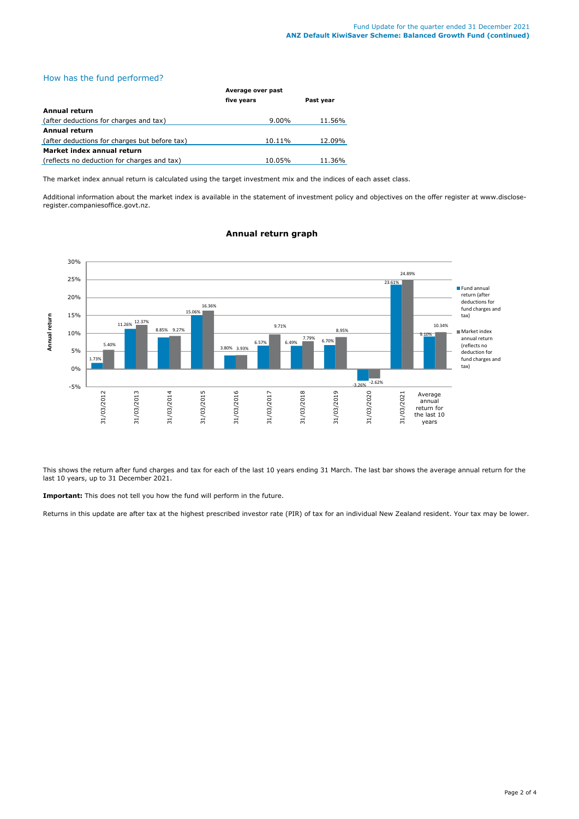# How has the fund performed?

|                                               | Average over past |           |  |
|-----------------------------------------------|-------------------|-----------|--|
|                                               | five years        | Past year |  |
| Annual return                                 |                   |           |  |
| (after deductions for charges and tax)        | $9.00\%$          | 11.56%    |  |
| <b>Annual return</b>                          |                   |           |  |
| (after deductions for charges but before tax) | 10.11%            | 12.09%    |  |
| Market index annual return                    |                   |           |  |
| (reflects no deduction for charges and tax)   | 10.05%            | 11.36%    |  |

The market index annual return is calculated using the target investment mix and the indices of each asset class.

Additional information about the market index is available in the statement of investment policy and objectives on the offer register at www.discloseregister.companiesoffice.govt.nz.



# **Annual return graph**

This shows the return after fund charges and tax for each of the last 10 years ending 31 March. The last bar shows the average annual return for the last 10 years, up to 31 December 2021.

**Important:** This does not tell you how the fund will perform in the future.

Returns in this update are after tax at the highest prescribed investor rate (PIR) of tax for an individual New Zealand resident. Your tax may be lower.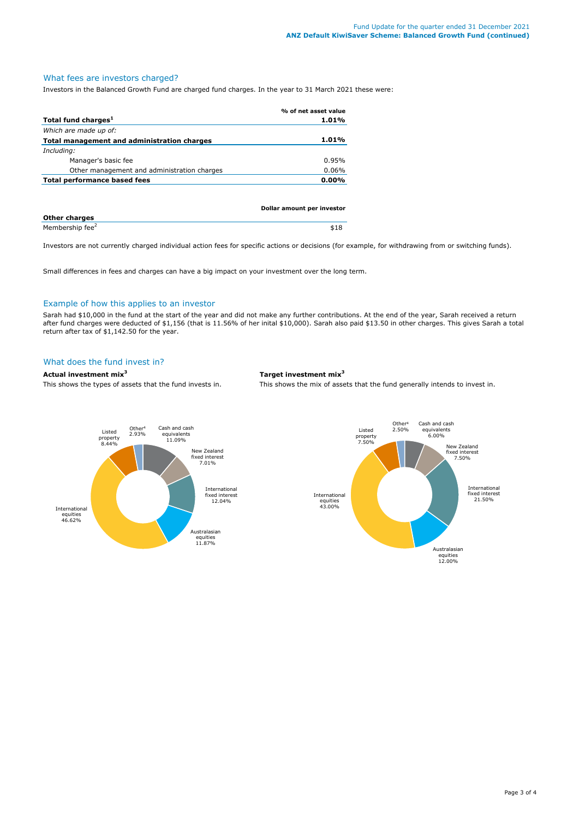# What fees are investors charged?

Investors in the Balanced Growth Fund are charged fund charges. In the year to 31 March 2021 these were:

|                                                    | % of net asset value |
|----------------------------------------------------|----------------------|
| Total fund charges <sup>1</sup>                    | 1.01%                |
| Which are made up of:                              |                      |
| <b>Total management and administration charges</b> | 1.01%                |
| Including:                                         |                      |
| Manager's basic fee                                | 0.95%                |
| Other management and administration charges        | 0.06%                |
| Total performance based fees                       | $0.00\%$             |
|                                                    |                      |
|                                                    |                      |
|                                                    |                      |

|                             | <b>DUTIAL ATTIVATIL DEL ITIVESCOL</b> |
|-----------------------------|---------------------------------------|
| <b>Other charges</b>        |                                       |
| Membership fee <sup>2</sup> |                                       |

Investors are not currently charged individual action fees for specific actions or decisions (for example, for withdrawing from or switching funds).

Small differences in fees and charges can have a big impact on your investment over the long term.

## Example of how this applies to an investor

Sarah had \$10,000 in the fund at the start of the year and did not make any further contributions. At the end of the year, Sarah received a return after fund charges were deducted of \$1,156 (that is 11.56% of her inital \$10,000). Sarah also paid \$13.50 in other charges. This gives Sarah a total return after tax of \$1,142.50 for the year.

# What does the fund invest in?

# **Actual investment mix<sup>3</sup> Target investment mix<sup>3</sup>**

This shows the types of assets that the fund invests in. This shows the mix of assets that the fund generally intends to invest in.